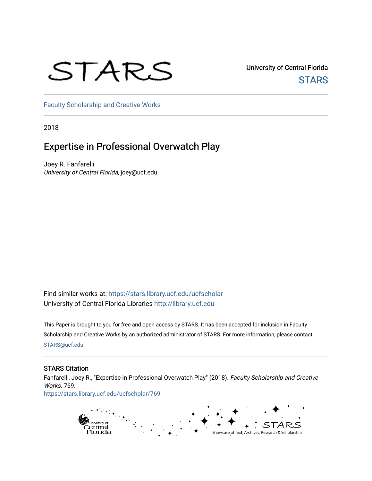# STARS

University of Central Florida **STARS** 

[Faculty Scholarship and Creative Works](https://stars.library.ucf.edu/ucfscholar) 

2018

## Expertise in Professional Overwatch Play

Joey R. Fanfarelli University of Central Florida, joey@ucf.edu

Find similar works at: <https://stars.library.ucf.edu/ucfscholar> University of Central Florida Libraries [http://library.ucf.edu](http://library.ucf.edu/) 

This Paper is brought to you for free and open access by STARS. It has been accepted for inclusion in Faculty Scholarship and Creative Works by an authorized administrator of STARS. For more information, please contact [STARS@ucf.edu](mailto:STARS@ucf.edu).

#### STARS Citation

Fanfarelli, Joey R., "Expertise in Professional Overwatch Play" (2018). Faculty Scholarship and Creative Works. 769.

[https://stars.library.ucf.edu/ucfscholar/769](https://stars.library.ucf.edu/ucfscholar/769?utm_source=stars.library.ucf.edu%2Fucfscholar%2F769&utm_medium=PDF&utm_campaign=PDFCoverPages)

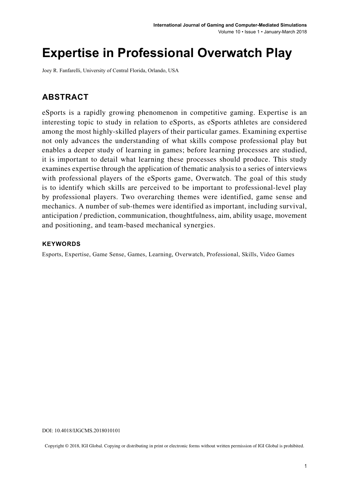# **Expertise in Professional Overwatch Play**

Joey R. Fanfarelli, University of Central Florida, Orlando, USA

#### **ABSTRACT**

eSports is a rapidly growing phenomenon in competitive gaming. Expertise is an interesting topic to study in relation to eSports, as eSports athletes are considered among the most highly-skilled players of their particular games. Examining expertise not only advances the understanding of what skills compose professional play but enables a deeper study of learning in games; before learning processes are studied, it is important to detail what learning these processes should produce. This study examines expertise through the application of thematic analysis to a series of interviews with professional players of the eSports game, Overwatch. The goal of this study is to identify which skills are perceived to be important to professional-level play by professional players. Two overarching themes were identified, game sense and mechanics. A number of sub-themes were identified as important, including survival, anticipation / prediction, communication, thoughtfulness, aim, ability usage, movement and positioning, and team-based mechanical synergies.

#### **Keywords**

Esports, Expertise, Game Sense, Games, Learning, Overwatch, Professional, Skills, Video Games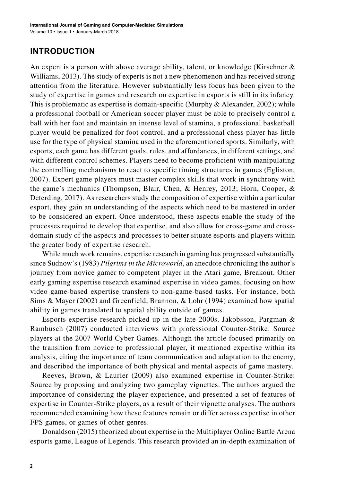#### **INTRODUCTION**

An expert is a person with above average ability, talent, or knowledge (Kirschner  $\&$ Williams, 2013). The study of experts is not a new phenomenon and has received strong attention from the literature. However substantially less focus has been given to the study of expertise in games and research on expertise in esports is still in its infancy. This is problematic as expertise is domain-specific (Murphy  $\&$  Alexander, 2002); while a professional football or American soccer player must be able to precisely control a ball with her foot and maintain an intense level of stamina, a professional basketball player would be penalized for foot control, and a professional chess player has little use for the type of physical stamina used in the aforementioned sports. Similarly, with esports, each game has different goals, rules, and affordances, in different settings, and with different control schemes. Players need to become proficient with manipulating the controlling mechanisms to react to specific timing structures in games (Egliston, 2007). Expert game players must master complex skills that work in synchrony with the game's mechanics (Thompson, Blair, Chen, & Henrey, 2013; Horn, Cooper, & Deterding, 2017). As researchers study the composition of expertise within a particular esport, they gain an understanding of the aspects which need to be mastered in order to be considered an expert. Once understood, these aspects enable the study of the processes required to develop that expertise, and also allow for cross-game and crossdomain study of the aspects and processes to better situate esports and players within the greater body of expertise research.

While much work remains, expertise research in gaming has progressed substantially since Sudnow's (1983) *Pilgrims in the Microworld*, an anecdote chronicling the author's journey from novice gamer to competent player in the Atari game, Breakout. Other early gaming expertise research examined expertise in video games, focusing on how video game-based expertise transfers to non-game-based tasks. For instance, both Sims & Mayer (2002) and Greenfield, Brannon, & Lohr (1994) examined how spatial ability in games translated to spatial ability outside of games.

Esports expertise research picked up in the late 2000s. Jakobsson, Pargman & Rambusch (2007) conducted interviews with professional Counter-Strike: Source players at the 2007 World Cyber Games. Although the article focused primarily on the transition from novice to professional player, it mentioned expertise within its analysis, citing the importance of team communication and adaptation to the enemy, and described the importance of both physical and mental aspects of game mastery.

Reeves, Brown, & Laurier (2009) also examined expertise in Counter-Strike: Source by proposing and analyzing two gameplay vignettes. The authors argued the importance of considering the player experience, and presented a set of features of expertise in Counter-Strike players, as a result of their vignette analyses. The authors recommended examining how these features remain or differ across expertise in other FPS games, or games of other genres.

Donaldson (2015) theorized about expertise in the Multiplayer Online Battle Arena esports game, League of Legends. This research provided an in-depth examination of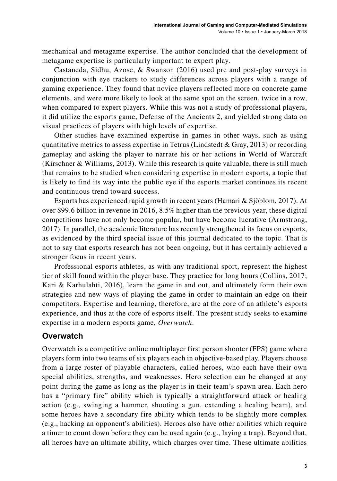mechanical and metagame expertise. The author concluded that the development of metagame expertise is particularly important to expert play.

Castaneda, Sidhu, Azose, & Swanson (2016) used pre and post-play surveys in conjunction with eye trackers to study differences across players with a range of gaming experience. They found that novice players reflected more on concrete game elements, and were more likely to look at the same spot on the screen, twice in a row, when compared to expert players. While this was not a study of professional players, it did utilize the esports game, Defense of the Ancients 2, and yielded strong data on visual practices of players with high levels of expertise.

Other studies have examined expertise in games in other ways, such as using quantitative metrics to assess expertise in Tetrus (Lindstedt  $\&$  Gray, 2013) or recording gameplay and asking the player to narrate his or her actions in World of Warcraft (Kirschner & Williams, 2013). While this research is quite valuable, there is still much that remains to be studied when considering expertise in modern esports, a topic that is likely to find its way into the public eye if the esports market continues its recent and continuous trend toward success.

Esports has experienced rapid growth in recent years (Hamari & Sjöblom, 2017). At over \$99.6 billion in revenue in 2016, 8.5% higher than the previous year, these digital competitions have not only become popular, but have become lucrative (Armstrong, 2017). In parallel, the academic literature has recently strengthened its focus on esports, as evidenced by the third special issue of this journal dedicated to the topic. That is not to say that esports research has not been ongoing, but it has certainly achieved a stronger focus in recent years.

Professional esports athletes, as with any traditional sport, represent the highest tier of skill found within the player base. They practice for long hours (Collins, 2017; Kari & Karhulahti, 2016), learn the game in and out, and ultimately form their own strategies and new ways of playing the game in order to maintain an edge on their competitors. Expertise and learning, therefore, are at the core of an athlete's esports experience, and thus at the core of esports itself. The present study seeks to examine expertise in a modern esports game, *Overwatch*.

#### **Overwatch**

Overwatch is a competitive online multiplayer first person shooter (FPS) game where players form into two teams of six players each in objective-based play. Players choose from a large roster of playable characters, called heroes, who each have their own special abilities, strengths, and weaknesses. Hero selection can be changed at any point during the game as long as the player is in their team's spawn area. Each hero has a "primary fire" ability which is typically a straightforward attack or healing action (e.g., swinging a hammer, shooting a gun, extending a healing beam), and some heroes have a secondary fire ability which tends to be slightly more complex (e.g., hacking an opponent's abilities). Heroes also have other abilities which require a timer to count down before they can be used again (e.g., laying a trap). Beyond that, all heroes have an ultimate ability, which charges over time. These ultimate abilities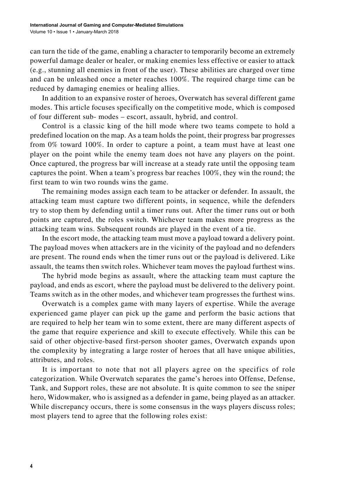can turn the tide of the game, enabling a character to temporarily become an extremely powerful damage dealer or healer, or making enemies less effective or easier to attack (e.g., stunning all enemies in front of the user). These abilities are charged over time and can be unleashed once a meter reaches 100%. The required charge time can be reduced by damaging enemies or healing allies.

In addition to an expansive roster of heroes, Overwatch has several different game modes. This article focuses specifically on the competitive mode, which is composed of four different sub- modes – escort, assault, hybrid, and control.

Control is a classic king of the hill mode where two teams compete to hold a predefined location on the map. As a team holds the point, their progress bar progresses from 0% toward 100%. In order to capture a point, a team must have at least one player on the point while the enemy team does not have any players on the point. Once captured, the progress bar will increase at a steady rate until the opposing team captures the point. When a team's progress bar reaches 100%, they win the round; the first team to win two rounds wins the game.

The remaining modes assign each team to be attacker or defender. In assault, the attacking team must capture two different points, in sequence, while the defenders try to stop them by defending until a timer runs out. After the timer runs out or both points are captured, the roles switch. Whichever team makes more progress as the attacking team wins. Subsequent rounds are played in the event of a tie.

In the escort mode, the attacking team must move a payload toward a delivery point. The payload moves when attackers are in the vicinity of the payload and no defenders are present. The round ends when the timer runs out or the payload is delivered. Like assault, the teams then switch roles. Whichever team moves the payload furthest wins.

The hybrid mode begins as assault, where the attacking team must capture the payload, and ends as escort, where the payload must be delivered to the delivery point. Teams switch as in the other modes, and whichever team progresses the furthest wins.

Overwatch is a complex game with many layers of expertise. While the average experienced game player can pick up the game and perform the basic actions that are required to help her team win to some extent, there are many different aspects of the game that require experience and skill to execute effectively. While this can be said of other objective-based first-person shooter games, Overwatch expands upon the complexity by integrating a large roster of heroes that all have unique abilities, attributes, and roles.

It is important to note that not all players agree on the specifics of role categorization. While Overwatch separates the game's heroes into Offense, Defense, Tank, and Support roles, these are not absolute. It is quite common to see the sniper hero, Widowmaker, who is assigned as a defender in game, being played as an attacker. While discrepancy occurs, there is some consensus in the ways players discuss roles; most players tend to agree that the following roles exist: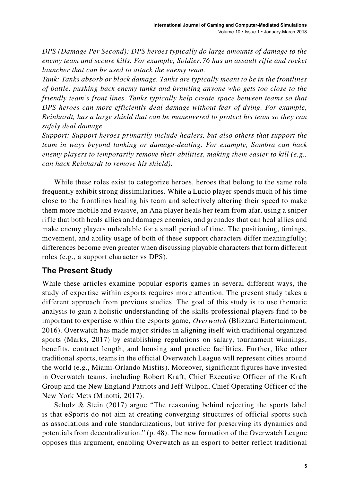*DPS (Damage Per Second): DPS heroes typically do large amounts of damage to the enemy team and secure kills. For example, Soldier:76 has an assault rifle and rocket launcher that can be used to attack the enemy team.*

*Tank: Tanks absorb or block damage. Tanks are typically meant to be in the frontlines of battle, pushing back enemy tanks and brawling anyone who gets too close to the friendly team's front lines. Tanks typically help create space between teams so that DPS heroes can more efficiently deal damage without fear of dying. For example, Reinhardt, has a large shield that can be maneuvered to protect his team so they can safely deal damage.*

*Support: Support heroes primarily include healers, but also others that support the team in ways beyond tanking or damage-dealing. For example, Sombra can hack enemy players to temporarily remove their abilities, making them easier to kill (e.g., can hack Reinhardt to remove his shield).* 

While these roles exist to categorize heroes, heroes that belong to the same role frequently exhibit strong dissimilarities. While a Lucio player spends much of his time close to the frontlines healing his team and selectively altering their speed to make them more mobile and evasive, an Ana player heals her team from afar, using a sniper rifle that both heals allies and damages enemies, and grenades that can heal allies and make enemy players unhealable for a small period of time. The positioning, timings, movement, and ability usage of both of these support characters differ meaningfully; differences become even greater when discussing playable characters that form different roles (e.g., a support character vs DPS).

#### **The Present Study**

While these articles examine popular esports games in several different ways, the study of expertise within esports requires more attention. The present study takes a different approach from previous studies. The goal of this study is to use thematic analysis to gain a holistic understanding of the skills professional players find to be important to expertise within the esports game, *Overwatch* (Blizzard Entertainment, 2016). Overwatch has made major strides in aligning itself with traditional organized sports (Marks, 2017) by establishing regulations on salary, tournament winnings, benefits, contract length, and housing and practice facilities. Further, like other traditional sports, teams in the official Overwatch League will represent cities around the world (e.g., Miami-Orlando Misfits). Moreover, significant figures have invested in Overwatch teams, including Robert Kraft, Chief Executive Officer of the Kraft Group and the New England Patriots and Jeff Wilpon, Chief Operating Officer of the New York Mets (Minotti, 2017).

Scholz & Stein  $(2017)$  argue "The reasoning behind rejecting the sports label is that eSports do not aim at creating converging structures of official sports such as associations and rule standardizations, but strive for preserving its dynamics and potentials from decentralization." (p. 48). The new formation of the Overwatch League opposes this argument, enabling Overwatch as an esport to better reflect traditional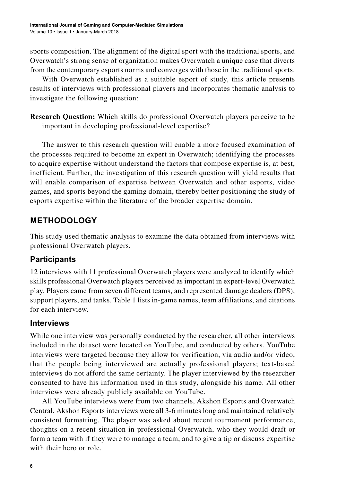sports composition. The alignment of the digital sport with the traditional sports, and Overwatch's strong sense of organization makes Overwatch a unique case that diverts from the contemporary esports norms and converges with those in the traditional sports.

With Overwatch established as a suitable esport of study, this article presents results of interviews with professional players and incorporates thematic analysis to investigate the following question:

**Research Question:** Which skills do professional Overwatch players perceive to be important in developing professional-level expertise?

The answer to this research question will enable a more focused examination of the processes required to become an expert in Overwatch; identifying the processes to acquire expertise without understand the factors that compose expertise is, at best, inefficient. Further, the investigation of this research question will yield results that will enable comparison of expertise between Overwatch and other esports, video games, and sports beyond the gaming domain, thereby better positioning the study of esports expertise within the literature of the broader expertise domain.

### **METHODOLOGY**

This study used thematic analysis to examine the data obtained from interviews with professional Overwatch players.

#### **Participants**

12 interviews with 11 professional Overwatch players were analyzed to identify which skills professional Overwatch players perceived as important in expert-level Overwatch play. Players came from seven different teams, and represented damage dealers (DPS), support players, and tanks. Table 1 lists in-game names, team affiliations, and citations for each interview.

#### **Interviews**

While one interview was personally conducted by the researcher, all other interviews included in the dataset were located on YouTube, and conducted by others. YouTube interviews were targeted because they allow for verification, via audio and/or video, that the people being interviewed are actually professional players; text-based interviews do not afford the same certainty. The player interviewed by the researcher consented to have his information used in this study, alongside his name. All other interviews were already publicly available on YouTube.

All YouTube interviews were from two channels, Akshon Esports and Overwatch Central. Akshon Esports interviews were all 3-6 minutes long and maintained relatively consistent formatting. The player was asked about recent tournament performance, thoughts on a recent situation in professional Overwatch, who they would draft or form a team with if they were to manage a team, and to give a tip or discuss expertise with their hero or role.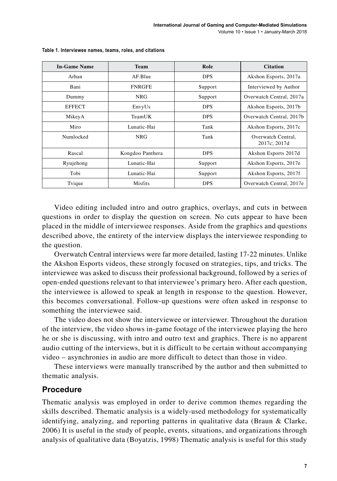| <b>In-Game Name</b> | <b>Team</b>      | Role       | <b>Citation</b>                    |
|---------------------|------------------|------------|------------------------------------|
| Arhan               | AF.Blue          | <b>DPS</b> | Akshon Esports, 2017a              |
| Bani                | <b>FNRGFE</b>    | Support    | Interviewed by Author              |
| Dummy               | <b>NRG</b>       | Support    | Overwatch Central, 2017a           |
| <b>EFFECT</b>       | EnvyUs           | <b>DPS</b> | Akshon Esports, 2017b              |
| MikeyA              | TeamUK           | <b>DPS</b> | Overwatch Central, 2017b           |
| Miro                | Lunatic-Hai      | Tank       | Akshon Esports, 2017c              |
| Numlocked           | <b>NRG</b>       | Tank       | Overwatch Central,<br>2017c; 2017d |
| Rascal              | Kongdoo Panthera | <b>DPS</b> | Akshon Esports 2017d               |
| Ryujehong           | Lunatic-Hai      | Support    | Akshon Esports, 2017e              |
| Tobi                | Lunatic-Hai      | Support    | Akshon Esports, 2017f              |
| Tvique              | <b>Misfits</b>   | <b>DPS</b> | Overwatch Central, 2017e           |

**Table 1. Interviewee names, teams, roles, and citations**

Video editing included intro and outro graphics, overlays, and cuts in between questions in order to display the question on screen. No cuts appear to have been placed in the middle of interviewee responses. Aside from the graphics and questions described above, the entirety of the interview displays the interviewee responding to the question.

Overwatch Central interviews were far more detailed, lasting 17-22 minutes. Unlike the Akshon Esports videos, these strongly focused on strategies, tips, and tricks. The interviewee was asked to discuss their professional background, followed by a series of open-ended questions relevant to that interviewee's primary hero. After each question, the interviewee is allowed to speak at length in response to the question. However, this becomes conversational. Follow-up questions were often asked in response to something the interviewee said.

The video does not show the interviewee or interviewer. Throughout the duration of the interview, the video shows in-game footage of the interviewee playing the hero he or she is discussing, with intro and outro text and graphics. There is no apparent audio cutting of the interviews, but it is difficult to be certain without accompanying video – asynchronies in audio are more difficult to detect than those in video.

These interviews were manually transcribed by the author and then submitted to thematic analysis.

#### **Procedure**

Thematic analysis was employed in order to derive common themes regarding the skills described. Thematic analysis is a widely-used methodology for systematically identifying, analyzing, and reporting patterns in qualitative data (Braun & Clarke, 2006) It is useful in the study of people, events, situations, and organizations through analysis of qualitative data (Boyatzis, 1998) Thematic analysis is useful for this study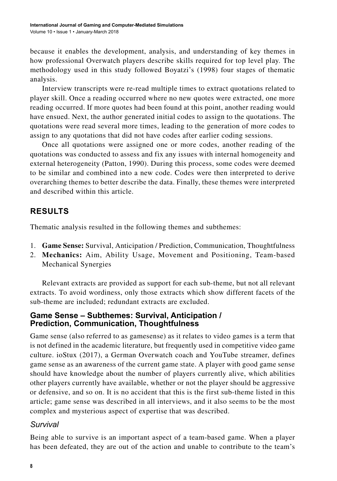because it enables the development, analysis, and understanding of key themes in how professional Overwatch players describe skills required for top level play. The methodology used in this study followed Boyatzi's (1998) four stages of thematic analysis.

Interview transcripts were re-read multiple times to extract quotations related to player skill. Once a reading occurred where no new quotes were extracted, one more reading occurred. If more quotes had been found at this point, another reading would have ensued. Next, the author generated initial codes to assign to the quotations. The quotations were read several more times, leading to the generation of more codes to assign to any quotations that did not have codes after earlier coding sessions.

Once all quotations were assigned one or more codes, another reading of the quotations was conducted to assess and fix any issues with internal homogeneity and external heterogeneity (Patton, 1990). During this process, some codes were deemed to be similar and combined into a new code. Codes were then interpreted to derive overarching themes to better describe the data. Finally, these themes were interpreted and described within this article.

### **RESULTS**

Thematic analysis resulted in the following themes and subthemes:

- 1. **Game Sense:** Survival, Anticipation / Prediction, Communication, Thoughtfulness
- 2. **Mechanics:** Aim, Ability Usage, Movement and Positioning, Team-based Mechanical Synergies

Relevant extracts are provided as support for each sub-theme, but not all relevant extracts. To avoid wordiness, only those extracts which show different facets of the sub-theme are included; redundant extracts are excluded.

#### **Game Sense – Subthemes: Survival, Anticipation / Prediction, Communication, Thoughtfulness**

Game sense (also referred to as gamesense) as it relates to video games is a term that is not defined in the academic literature, but frequently used in competitive video game culture. ioStux (2017), a German Overwatch coach and YouTube streamer, defines game sense as an awareness of the current game state. A player with good game sense should have knowledge about the number of players currently alive, which abilities other players currently have available, whether or not the player should be aggressive or defensive, and so on. It is no accident that this is the first sub-theme listed in this article; game sense was described in all interviews, and it also seems to be the most complex and mysterious aspect of expertise that was described.

#### *Survival*

Being able to survive is an important aspect of a team-based game. When a player has been defeated, they are out of the action and unable to contribute to the team's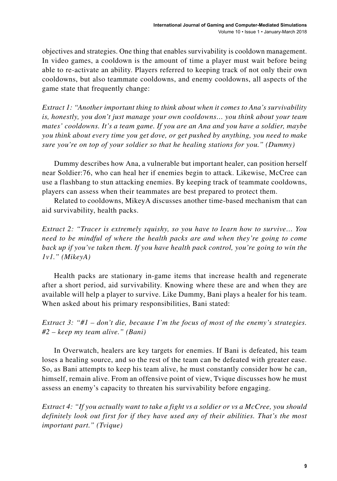objectives and strategies. One thing that enables survivability is cooldown management. In video games, a cooldown is the amount of time a player must wait before being able to re-activate an ability. Players referred to keeping track of not only their own cooldowns, but also teammate cooldowns, and enemy cooldowns, all aspects of the game state that frequently change:

*Extract 1: "Another important thing to think about when it comes to Ana's survivability is, honestly, you don't just manage your own cooldowns… you think about your team mates' cooldowns. It's a team game. If you are an Ana and you have a soldier, maybe you think about every time you get dove, or get pushed by anything, you need to make sure you're on top of your soldier so that he healing stations for you." (Dummy)*

Dummy describes how Ana, a vulnerable but important healer, can position herself near Soldier:76, who can heal her if enemies begin to attack. Likewise, McCree can use a flashbang to stun attacking enemies. By keeping track of teammate cooldowns, players can assess when their teammates are best prepared to protect them.

Related to cooldowns, MikeyA discusses another time-based mechanism that can aid survivability, health packs.

*Extract 2: "Tracer is extremely squishy, so you have to learn how to survive… You need to be mindful of where the health packs are and when they're going to come back up if you've taken them. If you have health pack control, you're going to win the 1v1." (MikeyA)*

Health packs are stationary in-game items that increase health and regenerate after a short period, aid survivability. Knowing where these are and when they are available will help a player to survive. Like Dummy, Bani plays a healer for his team. When asked about his primary responsibilities, Bani stated:

*Extract 3: "#1 – don't die, because I'm the focus of most of the enemy's strategies. #2 – keep my team alive." (Bani)*

In Overwatch, healers are key targets for enemies. If Bani is defeated, his team loses a healing source, and so the rest of the team can be defeated with greater ease. So, as Bani attempts to keep his team alive, he must constantly consider how he can, himself, remain alive. From an offensive point of view, Tvique discusses how he must assess an enemy's capacity to threaten his survivability before engaging.

*Extract 4: "If you actually want to take a fight vs a soldier or vs a McCree, you should definitely look out first for if they have used any of their abilities. That's the most important part." (Tvique)*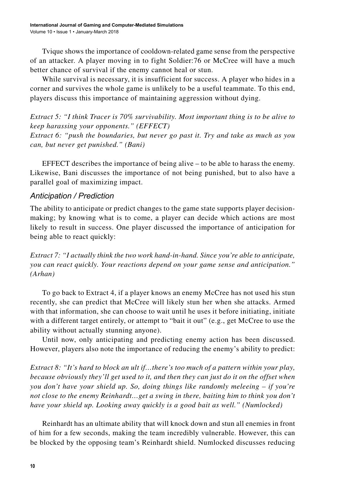Tvique shows the importance of cooldown-related game sense from the perspective of an attacker. A player moving in to fight Soldier:76 or McCree will have a much better chance of survival if the enemy cannot heal or stun.

While survival is necessary, it is insufficient for success. A player who hides in a corner and survives the whole game is unlikely to be a useful teammate. To this end, players discuss this importance of maintaining aggression without dying.

*Extract 5: "I think Tracer is 70% survivability. Most important thing is to be alive to keep harassing your opponents." (EFFECT)*

*Extract 6: "push the boundaries, but never go past it. Try and take as much as you can, but never get punished." (Bani)*

EFFECT describes the importance of being alive – to be able to harass the enemy. Likewise, Bani discusses the importance of not being punished, but to also have a parallel goal of maximizing impact.

#### *Anticipation / Prediction*

The ability to anticipate or predict changes to the game state supports player decisionmaking; by knowing what is to come, a player can decide which actions are most likely to result in success. One player discussed the importance of anticipation for being able to react quickly:

*Extract 7: "I actually think the two work hand-in-hand. Since you're able to anticipate, you can react quickly. Your reactions depend on your game sense and anticipation." (Arhan)*

To go back to Extract 4, if a player knows an enemy McCree has not used his stun recently, she can predict that McCree will likely stun her when she attacks. Armed with that information, she can choose to wait until he uses it before initiating, initiate with a different target entirely, or attempt to "bait it out" (e.g., get McCree to use the ability without actually stunning anyone).

Until now, only anticipating and predicting enemy action has been discussed. However, players also note the importance of reducing the enemy's ability to predict:

*Extract 8: "It's hard to block an ult if…there's too much of a pattern within your play, because obviously they'll get used to it, and then they can just do it on the offset when you don't have your shield up. So, doing things like randomly meleeing – if you're not close to the enemy Reinhardt…get a swing in there, baiting him to think you don't have your shield up. Looking away quickly is a good bait as well." (Numlocked)*

Reinhardt has an ultimate ability that will knock down and stun all enemies in front of him for a few seconds, making the team incredibly vulnerable. However, this can be blocked by the opposing team's Reinhardt shield. Numlocked discusses reducing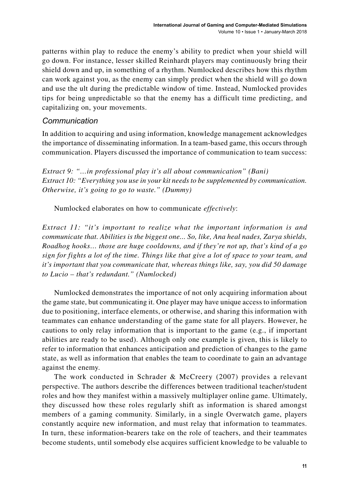patterns within play to reduce the enemy's ability to predict when your shield will go down. For instance, lesser skilled Reinhardt players may continuously bring their shield down and up, in something of a rhythm. Numlocked describes how this rhythm can work against you, as the enemy can simply predict when the shield will go down and use the ult during the predictable window of time. Instead, Numlocked provides tips for being unpredictable so that the enemy has a difficult time predicting, and capitalizing on, your movements.

#### *Communication*

In addition to acquiring and using information, knowledge management acknowledges the importance of disseminating information. In a team-based game, this occurs through communication. Players discussed the importance of communication to team success:

*Extract 9: "…in professional play it's all about communication" (Bani) Extract 10: "Everything you use in your kit needs to be supplemented by communication. Otherwise, it's going to go to waste." (Dummy)*

Numlocked elaborates on how to communicate *effectively*:

*Extract 11: "it's important to realize what the important information is and communicate that. Abilities is the biggest one... So, like, Ana heal nades, Zarya shields, Roadhog hooks… those are huge cooldowns, and if they're not up, that's kind of a go sign for fights a lot of the time. Things like that give a lot of space to your team, and it's important that you communicate that, whereas things like, say, you did 50 damage to Lucio – that's redundant." (Numlocked)*

Numlocked demonstrates the importance of not only acquiring information about the game state, but communicating it. One player may have unique access to information due to positioning, interface elements, or otherwise, and sharing this information with teammates can enhance understanding of the game state for all players. However, he cautions to only relay information that is important to the game (e.g., if important abilities are ready to be used). Although only one example is given, this is likely to refer to information that enhances anticipation and prediction of changes to the game state, as well as information that enables the team to coordinate to gain an advantage against the enemy.

The work conducted in Schrader & McCreery (2007) provides a relevant perspective. The authors describe the differences between traditional teacher/student roles and how they manifest within a massively multiplayer online game. Ultimately, they discussed how these roles regularly shift as information is shared amongst members of a gaming community. Similarly, in a single Overwatch game, players constantly acquire new information, and must relay that information to teammates. In turn, these information-bearers take on the role of teachers, and their teammates become students, until somebody else acquires sufficient knowledge to be valuable to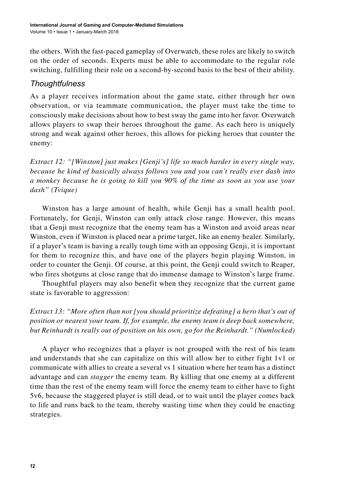the others. With the fast-paced gameplay of Overwatch, these roles are likely to switch on the order of seconds. Experts must be able to accommodate to the regular role switching, fulfilling their role on a second-by-second basis to the best of their ability.

#### *Thoughtfulness*

As a player receives information about the game state, either through her own observation, or via teammate communication, the player must take the time to consciously make decisions about how to best sway the game into her favor. Overwatch allows players to swap their heroes throughout the game. As each hero is uniquely strong and weak against other heroes, this allows for picking heroes that counter the enemy:

*Extract 12: "[Winston] just makes [Genji's] life so much harder in every single way, because he kind of basically always follows you and you can't really ever dash into a monkey because he is going to kill you 90% of the time as soon as you use your dash" (Tvique)*

Winston has a large amount of health, while Genji has a small health pool. Fortunately, for Genji, Winston can only attack close range. However, this means that a Genji must recognize that the enemy team has a Winston and avoid areas near Winston, even if Winston is placed near a prime target, like an enemy healer. Similarly, if a player's team is having a really tough time with an opposing Genji, it is important for them to recognize this, and have one of the players begin playing Winston, in order to counter the Genji. Of course, at this point, the Genji could switch to Reaper, who fires shotguns at close range that do immense damage to Winston's large frame.

Thoughtful players may also benefit when they recognize that the current game state is favorable to aggression:

*Extract 13: "More often than not [you should prioritize defeating] a hero that's out of position or nearest your team. If, for example, the enemy team is deep back somewhere, but Reinhardt is really out of position on his own, go for the Reinhardt." (Numlocked)*

A player who recognizes that a player is not grouped with the rest of his team and understands that she can capitalize on this will allow her to either fight 1v1 or communicate with allies to create a several vs 1 situation where her team has a distinct advantage and can *stagger* the enemy team. By killing that one enemy at a different time than the rest of the enemy team will force the enemy team to either have to fight 5v6, because the staggered player is still dead, or to wait until the player comes back to life and runs back to the team, thereby wasting time when they could be enacting strategies.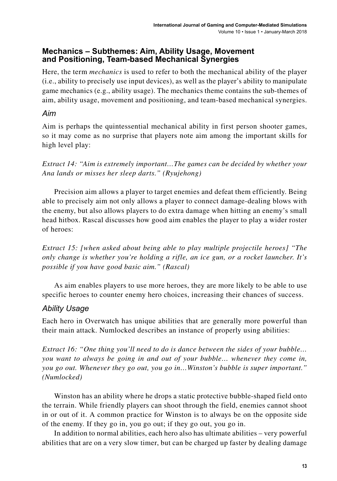#### **Mechanics – Subthemes: Aim, Ability Usage, Movement and Positioning, Team-based Mechanical Synergies**

Here, the term *mechanics* is used to refer to both the mechanical ability of the player (i.e., ability to precisely use input devices), as well as the player's ability to manipulate game mechanics (e.g., ability usage). The mechanics theme contains the sub-themes of aim, ability usage, movement and positioning, and team-based mechanical synergies.

#### *Aim*

Aim is perhaps the quintessential mechanical ability in first person shooter games, so it may come as no surprise that players note aim among the important skills for high level play:

*Extract 14: "Aim is extremely important…The games can be decided by whether your Ana lands or misses her sleep darts." (Ryujehong)*

Precision aim allows a player to target enemies and defeat them efficiently. Being able to precisely aim not only allows a player to connect damage-dealing blows with the enemy, but also allows players to do extra damage when hitting an enemy's small head hitbox. Rascal discusses how good aim enables the player to play a wider roster of heroes:

*Extract 15: [when asked about being able to play multiple projectile heroes] "The only change is whether you're holding a rifle, an ice gun, or a rocket launcher. It's possible if you have good basic aim." (Rascal)*

As aim enables players to use more heroes, they are more likely to be able to use specific heroes to counter enemy hero choices, increasing their chances of success.

#### *Ability Usage*

Each hero in Overwatch has unique abilities that are generally more powerful than their main attack. Numlocked describes an instance of properly using abilities:

*Extract 16: "One thing you'll need to do is dance between the sides of your bubble… you want to always be going in and out of your bubble… whenever they come in, you go out. Whenever they go out, you go in…Winston's bubble is super important." (Numlocked)*

Winston has an ability where he drops a static protective bubble-shaped field onto the terrain. While friendly players can shoot through the field, enemies cannot shoot in or out of it. A common practice for Winston is to always be on the opposite side of the enemy. If they go in, you go out; if they go out, you go in.

In addition to normal abilities, each hero also has ultimate abilities – very powerful abilities that are on a very slow timer, but can be charged up faster by dealing damage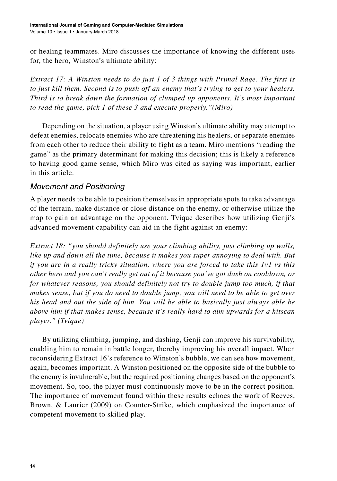or healing teammates. Miro discusses the importance of knowing the different uses for, the hero, Winston's ultimate ability:

*Extract 17: A Winston needs to do just 1 of 3 things with Primal Rage. The first is to just kill them. Second is to push off an enemy that's trying to get to your healers. Third is to break down the formation of clumped up opponents. It's most important to read the game, pick 1 of these 3 and execute properly."(Miro)*

Depending on the situation, a player using Winston's ultimate ability may attempt to defeat enemies, relocate enemies who are threatening his healers, or separate enemies from each other to reduce their ability to fight as a team. Miro mentions "reading the game" as the primary determinant for making this decision; this is likely a reference to having good game sense, which Miro was cited as saying was important, earlier in this article.

#### *Movement and Positioning*

A player needs to be able to position themselves in appropriate spots to take advantage of the terrain, make distance or close distance on the enemy, or otherwise utilize the map to gain an advantage on the opponent. Tvique describes how utilizing Genji's advanced movement capability can aid in the fight against an enemy:

*Extract 18: "you should definitely use your climbing ability, just climbing up walls, like up and down all the time, because it makes you super annoying to deal with. But if you are in a really tricky situation, where you are forced to take this 1v1 vs this other hero and you can't really get out of it because you've got dash on cooldown, or for whatever reasons, you should definitely not try to double jump too much, if that makes sense, but if you do need to double jump, you will need to be able to get over his head and out the side of him. You will be able to basically just always able be above him if that makes sense, because it's really hard to aim upwards for a hitscan player." (Tvique)*

By utilizing climbing, jumping, and dashing, Genji can improve his survivability, enabling him to remain in battle longer, thereby improving his overall impact. When reconsidering Extract 16's reference to Winston's bubble, we can see how movement, again, becomes important. A Winston positioned on the opposite side of the bubble to the enemy is invulnerable, but the required positioning changes based on the opponent's movement. So, too, the player must continuously move to be in the correct position. The importance of movement found within these results echoes the work of Reeves, Brown, & Laurier (2009) on Counter-Strike, which emphasized the importance of competent movement to skilled play.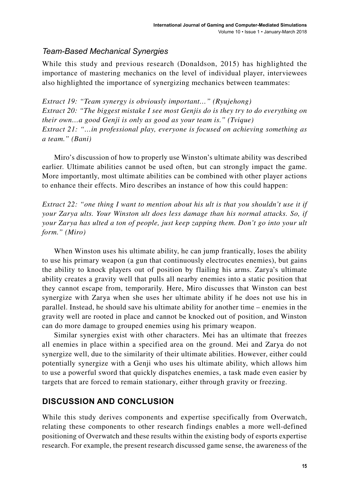#### *Team-Based Mechanical Synergies*

While this study and previous research (Donaldson, 2015) has highlighted the importance of mastering mechanics on the level of individual player, interviewees also highlighted the importance of synergizing mechanics between teammates:

*Extract 19: "Team synergy is obviously important…" (Ryujehong) Extract 20: "The biggest mistake I see most Genjis do is they try to do everything on their own…a good Genji is only as good as your team is." (Tvique) Extract 21: "…in professional play, everyone is focused on achieving something as a team." (Bani)*

Miro's discussion of how to properly use Winston's ultimate ability was described earlier. Ultimate abilities cannot be used often, but can strongly impact the game. More importantly, most ultimate abilities can be combined with other player actions to enhance their effects. Miro describes an instance of how this could happen:

*Extract 22: "one thing I want to mention about his ult is that you shouldn't use it if your Zarya ults. Your Winston ult does less damage than his normal attacks. So, if your Zarya has ulted a ton of people, just keep zapping them. Don't go into your ult form." (Miro)*

When Winston uses his ultimate ability, he can jump frantically, loses the ability to use his primary weapon (a gun that continuously electrocutes enemies), but gains the ability to knock players out of position by flailing his arms. Zarya's ultimate ability creates a gravity well that pulls all nearby enemies into a static position that they cannot escape from, temporarily. Here, Miro discusses that Winston can best synergize with Zarya when she uses her ultimate ability if he does not use his in parallel. Instead, he should save his ultimate ability for another time – enemies in the gravity well are rooted in place and cannot be knocked out of position, and Winston can do more damage to grouped enemies using his primary weapon.

Similar synergies exist with other characters. Mei has an ultimate that freezes all enemies in place within a specified area on the ground. Mei and Zarya do not synergize well, due to the similarity of their ultimate abilities. However, either could potentially synergize with a Genji who uses his ultimate ability, which allows him to use a powerful sword that quickly dispatches enemies, a task made even easier by targets that are forced to remain stationary, either through gravity or freezing.

### **DISCUSSION AND CONCLUSION**

While this study derives components and expertise specifically from Overwatch, relating these components to other research findings enables a more well-defined positioning of Overwatch and these results within the existing body of esports expertise research. For example, the present research discussed game sense, the awareness of the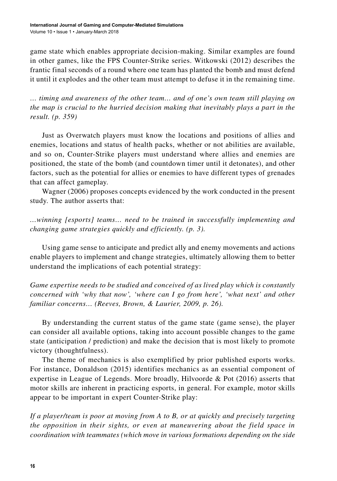game state which enables appropriate decision-making. Similar examples are found in other games, like the FPS Counter-Strike series. Witkowski (2012) describes the frantic final seconds of a round where one team has planted the bomb and must defend it until it explodes and the other team must attempt to defuse it in the remaining time.

*… timing and awareness of the other team… and of one's own team still playing on the map is crucial to the hurried decision making that inevitably plays a part in the result. (p. 359)* 

Just as Overwatch players must know the locations and positions of allies and enemies, locations and status of health packs, whether or not abilities are available, and so on, Counter-Strike players must understand where allies and enemies are positioned, the state of the bomb (and countdown timer until it detonates), and other factors, such as the potential for allies or enemies to have different types of grenades that can affect gameplay.

Wagner (2006) proposes concepts evidenced by the work conducted in the present study. The author asserts that:

*…winning [esports] teams… need to be trained in successfully implementing and changing game strategies quickly and efficiently. (p. 3).* 

Using game sense to anticipate and predict ally and enemy movements and actions enable players to implement and change strategies, ultimately allowing them to better understand the implications of each potential strategy:

*Game expertise needs to be studied and conceived of as lived play which is constantly concerned with 'why that now', 'where can I go from here', 'what next' and other familiar concerns… (Reeves, Brown, & Laurier, 2009, p. 26).*

By understanding the current status of the game state (game sense), the player can consider all available options, taking into account possible changes to the game state (anticipation / prediction) and make the decision that is most likely to promote victory (thoughtfulness).

The theme of mechanics is also exemplified by prior published esports works. For instance, Donaldson (2015) identifies mechanics as an essential component of expertise in League of Legends. More broadly, Hilvoorde & Pot (2016) asserts that motor skills are inherent in practicing esports, in general. For example, motor skills appear to be important in expert Counter-Strike play:

*If a player/team is poor at moving from A to B, or at quickly and precisely targeting the opposition in their sights, or even at maneuvering about the field space in coordination with teammates (which move in various formations depending on the side*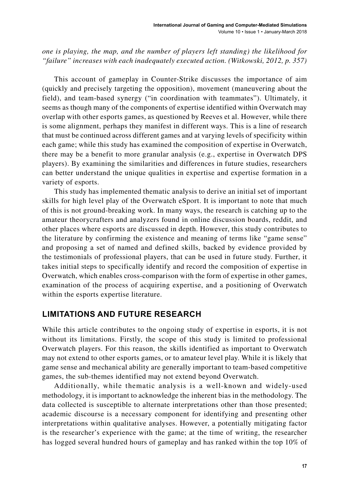*one is playing, the map, and the number of players left standing) the likelihood for "failure" increases with each inadequately executed action. (Witkowski, 2012, p. 357)*

This account of gameplay in Counter-Strike discusses the importance of aim (quickly and precisely targeting the opposition), movement (maneuvering about the field), and team-based synergy ("in coordination with teammates"). Ultimately, it seems as though many of the components of expertise identified within Overwatch may overlap with other esports games, as questioned by Reeves et al. However, while there is some alignment, perhaps they manifest in different ways. This is a line of research that must be continued across different games and at varying levels of specificity within each game; while this study has examined the composition of expertise in Overwatch, there may be a benefit to more granular analysis (e.g., expertise in Overwatch DPS players). By examining the similarities and differences in future studies, researchers can better understand the unique qualities in expertise and expertise formation in a variety of esports.

This study has implemented thematic analysis to derive an initial set of important skills for high level play of the Overwatch eSport. It is important to note that much of this is not ground-breaking work. In many ways, the research is catching up to the amateur theorycrafters and analyzers found in online discussion boards, reddit, and other places where esports are discussed in depth. However, this study contributes to the literature by confirming the existence and meaning of terms like "game sense" and proposing a set of named and defined skills, backed by evidence provided by the testimonials of professional players, that can be used in future study. Further, it takes initial steps to specifically identify and record the composition of expertise in Overwatch, which enables cross-comparison with the form of expertise in other games, examination of the process of acquiring expertise, and a positioning of Overwatch within the esports expertise literature.

#### **LIMITATIONS AND FUTURE RESEARCH**

While this article contributes to the ongoing study of expertise in esports, it is not without its limitations. Firstly, the scope of this study is limited to professional Overwatch players. For this reason, the skills identified as important to Overwatch may not extend to other esports games, or to amateur level play. While it is likely that game sense and mechanical ability are generally important to team-based competitive games, the sub-themes identified may not extend beyond Overwatch.

Additionally, while thematic analysis is a well-known and widely-used methodology, it is important to acknowledge the inherent bias in the methodology. The data collected is susceptible to alternate interpretations other than those presented; academic discourse is a necessary component for identifying and presenting other interpretations within qualitative analyses. However, a potentially mitigating factor is the researcher's experience with the game; at the time of writing, the researcher has logged several hundred hours of gameplay and has ranked within the top 10% of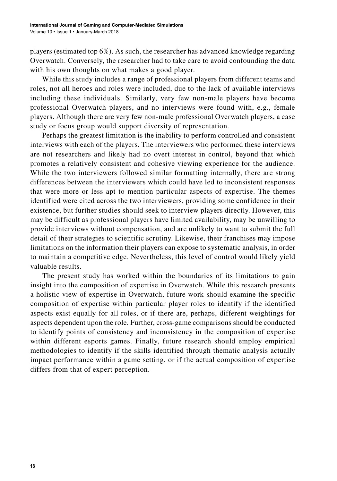players (estimated top 6%). As such, the researcher has advanced knowledge regarding Overwatch. Conversely, the researcher had to take care to avoid confounding the data with his own thoughts on what makes a good player.

While this study includes a range of professional players from different teams and roles, not all heroes and roles were included, due to the lack of available interviews including these individuals. Similarly, very few non-male players have become professional Overwatch players, and no interviews were found with, e.g., female players. Although there are very few non-male professional Overwatch players, a case study or focus group would support diversity of representation.

Perhaps the greatest limitation is the inability to perform controlled and consistent interviews with each of the players. The interviewers who performed these interviews are not researchers and likely had no overt interest in control, beyond that which promotes a relatively consistent and cohesive viewing experience for the audience. While the two interviewers followed similar formatting internally, there are strong differences between the interviewers which could have led to inconsistent responses that were more or less apt to mention particular aspects of expertise. The themes identified were cited across the two interviewers, providing some confidence in their existence, but further studies should seek to interview players directly. However, this may be difficult as professional players have limited availability, may be unwilling to provide interviews without compensation, and are unlikely to want to submit the full detail of their strategies to scientific scrutiny. Likewise, their franchises may impose limitations on the information their players can expose to systematic analysis, in order to maintain a competitive edge. Nevertheless, this level of control would likely yield valuable results.

The present study has worked within the boundaries of its limitations to gain insight into the composition of expertise in Overwatch. While this research presents a holistic view of expertise in Overwatch, future work should examine the specific composition of expertise within particular player roles to identify if the identified aspects exist equally for all roles, or if there are, perhaps, different weightings for aspects dependent upon the role. Further, cross-game comparisons should be conducted to identify points of consistency and inconsistency in the composition of expertise within different esports games. Finally, future research should employ empirical methodologies to identify if the skills identified through thematic analysis actually impact performance within a game setting, or if the actual composition of expertise differs from that of expert perception.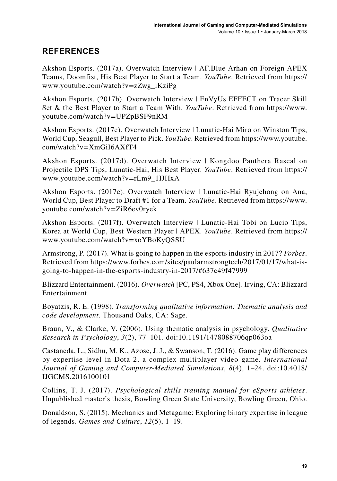## **REFERENCES**

Akshon Esports. (2017a). Overwatch Interview | AF.Blue Arhan on Foreign APEX Teams, Doomfist, His Best Player to Start a Team. *YouTube*. Retrieved from [https://](https://www.youtube.com/watch?v=zZwg_iKziPg) [www.youtube.com/watch?v=zZwg\\_iKziPg](https://www.youtube.com/watch?v=zZwg_iKziPg)

Akshon Esports. (2017b). Overwatch Interview | EnVyUs EFFECT on Tracer Skill Set & the Best Player to Start a Team With. *YouTube*. Retrieved from [https://www.](https://www.youtube.com/watch?v=UPZpBSF9nRM) [youtube.com/watch?v=UPZpBSF9nRM](https://www.youtube.com/watch?v=UPZpBSF9nRM)

Akshon Esports. (2017c). Overwatch Interview | Lunatic-Hai Miro on Winston Tips, World Cup, Seagull, Best Player to Pick. *YouTube*. Retrieved from [https://www.youtube.](https://www.youtube.com/watch?v=XmGiI6AXfT4) [com/watch?v=XmGiI6AXfT4](https://www.youtube.com/watch?v=XmGiI6AXfT4)

Akshon Esports. (2017d). Overwatch Interview | Kongdoo Panthera Rascal on Projectile DPS Tips, Lunatic-Hai, His Best Player. *YouTube*. Retrieved from [https://](https://www.youtube.com/watch?v=rLm9_1IJHxA) [www.youtube.com/watch?v=rLm9\\_1IJHxA](https://www.youtube.com/watch?v=rLm9_1IJHxA)

Akshon Esports. (2017e). Overwatch Interview | Lunatic-Hai Ryujehong on Ana, World Cup, Best Player to Draft #1 for a Team. *YouTube*. Retrieved from [https://www.](https://www.youtube.com/watch?v=ZiR6ev0ryek) [youtube.com/watch?v=ZiR6ev0ryek](https://www.youtube.com/watch?v=ZiR6ev0ryek)

Akshon Esports. (2017f). Overwatch Interview | Lunatic-Hai Tobi on Lucio Tips, Korea at World Cup, Best Western Player | APEX. *YouTube*. Retrieved from [https://](https://www.youtube.com/watch?v=xoYBoKyQSSU) [www.youtube.com/watch?v=xoYBoKyQSSU](https://www.youtube.com/watch?v=xoYBoKyQSSU)

Armstrong, P. (2017). What is going to happen in the esports industry in 2017? *Forbes*. Retrieved from [https://www.forbes.com/sites/paularmstrongtech/2017/01/17/what-is](https://www.forbes.com/sites/paularmstrongtech/2017/01/17/what-is-going-to-happen-in-the-esports-industry-in-2017/#637c49f47999)[going-to-happen-in-the-esports-industry-in-2017/#637c49f47999](https://www.forbes.com/sites/paularmstrongtech/2017/01/17/what-is-going-to-happen-in-the-esports-industry-in-2017/#637c49f47999)

Blizzard Entertainment. (2016). *Overwatch* [PC, PS4, Xbox One]. Irving, CA: Blizzard Entertainment.

Boyatzis, R. E. (1998). *Transforming qualitative information: Thematic analysis and code development*. Thousand Oaks, CA: Sage.

Braun, V., & Clarke, V. (2006). Using thematic analysis in psychology. *Qualitative Research in Psychology*, *3*(2), 77–101. doi[:10.1191/1478088706qp063oa](http://dx.doi.org/10.1191/1478088706qp063oa)

Castaneda, L., Sidhu, M. K., Azose, J. J., & Swanson, T. (2016). Game play differences by expertise level in Dota 2, a complex multiplayer video game. *International Journal of Gaming and Computer-Mediated Simulations*, *8*(4), 1–24. doi:[10.4018/](http://dx.doi.org/10.4018/IJGCMS.2016100101) [IJGCMS.2016100101](http://dx.doi.org/10.4018/IJGCMS.2016100101)

Collins, T. J. (2017). *Psychological skills training manual for eSports athletes*. Unpublished master's thesis, Bowling Green State University, Bowling Green, Ohio.

Donaldson, S. (2015). Mechanics and Metagame: Exploring binary expertise in league of legends. *Games and Culture*, *12*(5), 1–19.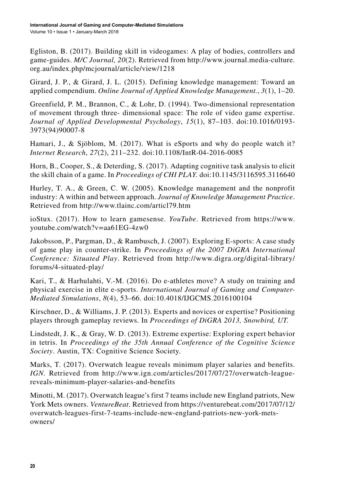Egliston, B. (2017). Building skill in videogames: A play of bodies, controllers and game-guides. *M/C Journal, 20*(2). Retrieved from [http://www.journal.media-culture.](http://www.journal.media-culture.org.au/index.php/mcjournal/article/view/1218) [org.au/index.php/mcjournal/article/view/1218](http://www.journal.media-culture.org.au/index.php/mcjournal/article/view/1218)

Girard, J. P., & Girard, J. L. (2015). Defining knowledge management: Toward an applied compendium. *Online Journal of Applied Knowledge Management.*, *3*(1), 1–20.

Greenfield, P. M., Brannon, C., & Lohr, D. (1994). Two-dimensional representation of movement through three- dimensional space: The role of video game expertise. *Journal of Applied Developmental Psychology*, *15*(1), 87–103. doi:[10.1016/0193-](http://dx.doi.org/10.1016/0193-3973(94)90007-8) [3973\(94\)90007-8](http://dx.doi.org/10.1016/0193-3973(94)90007-8)

Hamari, J., & Sjöblom, M. (2017). What is eSports and why do people watch it? *Internet Research*, *27*(2), 211–232. doi[:10.1108/IntR-04-2016-0085](http://dx.doi.org/10.1108/IntR-04-2016-0085)

Horn, B., Cooper, S., & Deterding, S. (2017). Adapting cognitive task analysis to elicit the skill chain of a game. In *Proceedings of CHI PLAY.* doi:[10.1145/3116595.3116640](http://dx.doi.org/10.1145/3116595.3116640)

Hurley, T. A., & Green, C. W. (2005). Knowledge management and the nonprofit industry: A within and between approach. *Journal of Knowledge Management Practice*. Retrieved from <http://www.tlainc.com/articl79.htm>

ioStux. (2017). How to learn gamesense. *YouTube*. Retrieved from [https://www.](https://www.youtube.com/watch?v=aa61EG-4zw0) [youtube.com/watch?v=aa61EG-4zw0](https://www.youtube.com/watch?v=aa61EG-4zw0)

Jakobsson, P., Pargman, D., & Rambusch, J. (2007). Exploring E-sports: A case study of game play in counter-strike. In *Proceedings of the 2007 DiGRA International Conference: Situated Play*. Retrieved from [http://www.digra.org/digital-library/](http://www.digra.org/digital-library/forums/4-situated-play/) [forums/4-situated-play/](http://www.digra.org/digital-library/forums/4-situated-play/)

Kari, T., & Harhulahti, V.-M. (2016). Do e-athletes move? A study on training and physical exercise in elite e-sports. *International Journal of Gaming and Computer-Mediated Simulations*, *8*(4), 53–66. doi[:10.4018/IJGCMS.2016100104](http://dx.doi.org/10.4018/IJGCMS.2016100104)

Kirschner, D., & Williams, J. P. (2013). Experts and novices or expertise? Positioning players through gameplay reviews. In *Proceedings of DiGRA 2013, Snowbird, UT.*

Lindstedt, J. K., & Gray, W. D. (2013). Extreme expertise: Exploring expert behavior in tetris. In *Proceedings of the 35th Annual Conference of the Cognitive Science Society*. Austin, TX: Cognitive Science Society.

Marks, T. (2017). Overwatch league reveals minimum player salaries and benefits. *IGN.* Retrieved from [http://www.ign.com/articles/2017/07/27/overwatch-league](http://www.ign.com/articles/2017/07/27/overwatch-league-reveals-minimum-player-salaries-and-benefits)[reveals-minimum-player-salaries-and-benefits](http://www.ign.com/articles/2017/07/27/overwatch-league-reveals-minimum-player-salaries-and-benefits)

Minotti, M. (2017). Overwatch league's first 7 teams include new England patriots, New York Mets owners. *VentureBeat*. Retrieved from [https://venturebeat.com/2017/07/12/](https://venturebeat.com/2017/07/12/overwatch-leagues-first-7-teams-include-new-england-patriots-new-york-mets-owners/) [overwatch-leagues-first-7-teams-include-new-england-patriots-new-york-mets](https://venturebeat.com/2017/07/12/overwatch-leagues-first-7-teams-include-new-england-patriots-new-york-mets-owners/)[owners/](https://venturebeat.com/2017/07/12/overwatch-leagues-first-7-teams-include-new-england-patriots-new-york-mets-owners/)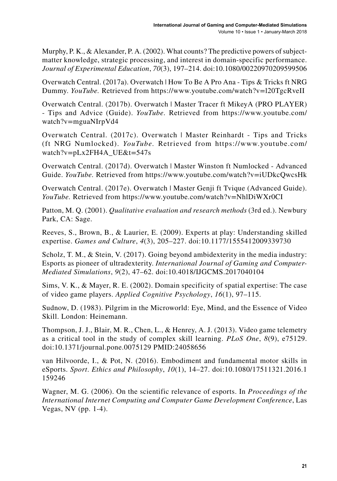Murphy, P. K.,  $\&$  Alexander, P. A. (2002). What counts? The predictive powers of subjectmatter knowledge, strategic processing, and interest in domain-specific performance. *Journal of Experimental Education*, *70*(3), 197–214. doi:[10.1080/00220970209599506](http://dx.doi.org/10.1080/00220970209599506)

Overwatch Central. (2017a). Overwatch | How To Be A Pro Ana - Tips & Tricks ft NRG Dummy. *YouTube.* Retrieved from <https://www.youtube.com/watch?v=l20TgcRveII>

Overwatch Central. (2017b). Overwatch | Master Tracer ft MikeyA (PRO PLAYER) - Tips and Advice (Guide). *YouTube.* Retrieved from [https://www.youtube.com/](https://www.youtube.com/watch?v=mguaNIrpVd4) [watch?v=mguaNIrpVd4](https://www.youtube.com/watch?v=mguaNIrpVd4)

Overwatch Central. (2017c). Overwatch | Master Reinhardt - Tips and Tricks (ft NRG Numlocked). *YouTube.* Retrieved from [https://www.youtube.com/](https://www.youtube.com/watch?v=pLx2FH4A_UE&t=547s) [watch?v=pLx2FH4A\\_UE&t=547s](https://www.youtube.com/watch?v=pLx2FH4A_UE&t=547s)

Overwatch Central. (2017d). Overwatch | Master Winston ft Numlocked - Advanced Guide. *YouTube.* Retrieved from <https://www.youtube.com/watch?v=iUDkcQwcsHk>

Overwatch Central. (2017e). Overwatch | Master Genji ft Tvique (Advanced Guide). *YouTube.* Retrieved from <https://www.youtube.com/watch?v=NhlDiWXr0CI>

Patton, M. Q. (2001). *Qualitative evaluation and research methods* (3rd ed.). Newbury Park, CA: Sage.

Reeves, S., Brown, B., & Laurier, E. (2009). Experts at play: Understanding skilled expertise. *Games and Culture*, *4*(3), 205–227. doi:[10.1177/1555412009339730](http://dx.doi.org/10.1177/1555412009339730)

Scholz, T. M., & Stein, V. (2017). Going beyond ambidexterity in the media industry: Esports as pioneer of ultradexterity. *International Journal of Gaming and Computer-Mediated Simulations*, *9*(2), 47–62. doi[:10.4018/IJGCMS.2017040104](http://dx.doi.org/10.4018/IJGCMS.2017040104)

Sims, V. K., & Mayer, R. E. (2002). Domain specificity of spatial expertise: The case of video game players. *Applied Cognitive Psychology*, *16*(1), 97–115.

Sudnow, D. (1983). Pilgrim in the Microworld: Eye, Mind, and the Essence of Video Skill. London: Heinemann.

Thompson, J. J., Blair, M. R., Chen, L., & Henrey, A. J. (2013). Video game telemetry as a critical tool in the study of complex skill learning. *PLoS One*, *8*(9), e75129. doi[:10.1371/journal.pone.0075129](http://dx.doi.org/10.1371/journal.pone.0075129) PMID:[24058656](http://www.ncbi.nlm.nih.gov/pubmed/24058656)

van Hilvoorde, I., & Pot, N. (2016). Embodiment and fundamental motor skills in eSports. *Sport*. *Ethics and Philosophy*, *10*(1), 14–27. doi:[10.1080/17511321.2016.1](http://dx.doi.org/10.1080/17511321.2016.1159246) [159246](http://dx.doi.org/10.1080/17511321.2016.1159246)

Wagner, M. G. (2006). On the scientific relevance of esports. In *Proceedings of the International Internet Computing and Computer Game Development Conference*, Las Vegas, NV (pp. 1-4).